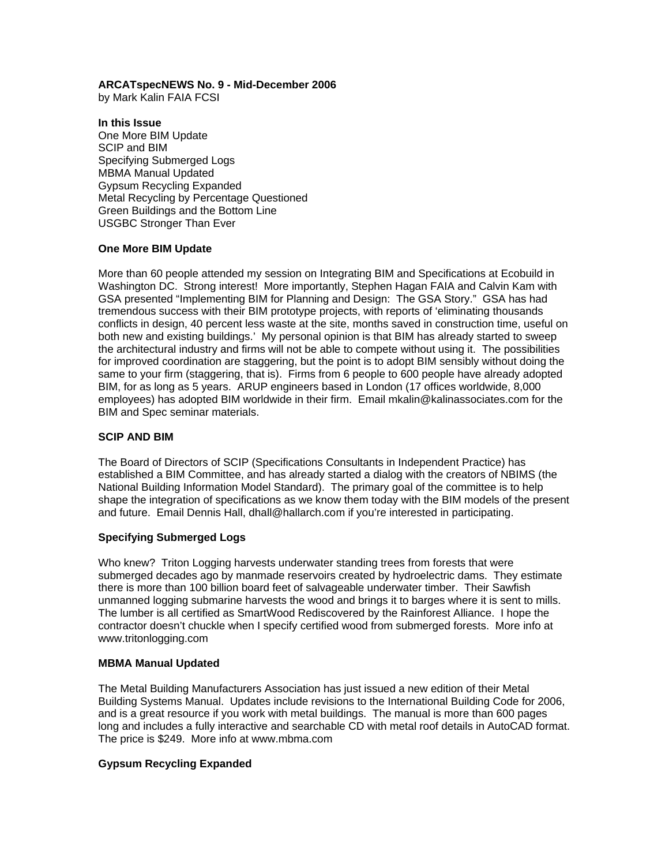### **ARCATspecNEWS No. 9 - Mid-December 2006**

by Mark Kalin FAIA FCSI

**In this Issue**  One More BIM Update SCIP and BIM Specifying Submerged Logs MBMA Manual Updated Gypsum Recycling Expanded Metal Recycling by Percentage Questioned Green Buildings and the Bottom Line USGBC Stronger Than Ever

## **One More BIM Update**

More than 60 people attended my session on Integrating BIM and Specifications at Ecobuild in Washington DC. Strong interest! More importantly, Stephen Hagan FAIA and Calvin Kam with GSA presented "Implementing BIM for Planning and Design: The GSA Story." GSA has had tremendous success with their BIM prototype projects, with reports of 'eliminating thousands conflicts in design, 40 percent less waste at the site, months saved in construction time, useful on both new and existing buildings.' My personal opinion is that BIM has already started to sweep the architectural industry and firms will not be able to compete without using it. The possibilities for improved coordination are staggering, but the point is to adopt BIM sensibly without doing the same to your firm (staggering, that is). Firms from 6 people to 600 people have already adopted BIM, for as long as 5 years. ARUP engineers based in London (17 offices worldwide, 8,000 employees) has adopted BIM worldwide in their firm. Email mkalin@kalinassociates.com for the BIM and Spec seminar materials.

### **SCIP AND BIM**

The Board of Directors of SCIP (Specifications Consultants in Independent Practice) has established a BIM Committee, and has already started a dialog with the creators of NBIMS (the National Building Information Model Standard). The primary goal of the committee is to help shape the integration of specifications as we know them today with the BIM models of the present and future. Email Dennis Hall, dhall@hallarch.com if you're interested in participating.

#### **Specifying Submerged Logs**

Who knew? Triton Logging harvests underwater standing trees from forests that were submerged decades ago by manmade reservoirs created by hydroelectric dams. They estimate there is more than 100 billion board feet of salvageable underwater timber. Their Sawfish unmanned logging submarine harvests the wood and brings it to barges where it is sent to mills. The lumber is all certified as SmartWood Rediscovered by the Rainforest Alliance. I hope the contractor doesn't chuckle when I specify certified wood from submerged forests. More info at www.tritonlogging.com

#### **MBMA Manual Updated**

The Metal Building Manufacturers Association has just issued a new edition of their Metal Building Systems Manual. Updates include revisions to the International Building Code for 2006, and is a great resource if you work with metal buildings. The manual is more than 600 pages long and includes a fully interactive and searchable CD with metal roof details in AutoCAD format. The price is \$249. More info at www.mbma.com

# **Gypsum Recycling Expanded**